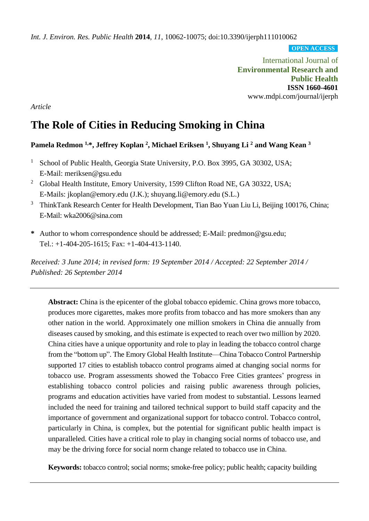*Int. J. Environ. Res. Public Health* **2014**, *11*, 10062-10075; doi:10.3390/ijerph111010062

**OPEN ACCESS**

International Journal of **Environmental Research and Public Health ISSN 1660-4601** www.mdpi.com/journal/ijerph

*Article*

# **The Role of Cities in Reducing Smoking in China**

# **Pamela Redmon 1,\*, Jeffrey Koplan <sup>2</sup> , Michael Eriksen <sup>1</sup> , Shuyang Li <sup>2</sup> and Wang Kean <sup>3</sup>**

- <sup>1</sup> School of Public Health, Georgia State University, P.O. Box 3995, GA 30302, USA; E-Mail: meriksen@gsu.edu
- <sup>2</sup> Global Health Institute, Emory University, 1599 Clifton Road NE, GA 30322, USA; E-Mails: jkoplan@emory.edu (J.K.); shuyang.li@emory.edu (S.L.)
- <sup>3</sup> ThinkTank Research Center for Health Development, Tian Bao Yuan Liu Li, Beijing 100176, China; E-Mail: wka2006@sina.com
- **\*** Author to whom correspondence should be addressed; E-Mail: predmon@gsu.edu; Tel.: +1-404-205-1615; Fax: +1-404-413-1140.

*Received: 3 June 2014; in revised form: 19 September 2014 / Accepted: 22 September 2014 / Published: 26 September 2014*

**Abstract:** China is the epicenter of the global tobacco epidemic. China grows more tobacco, produces more cigarettes, makes more profits from tobacco and has more smokers than any other nation in the world. Approximately one million smokers in China die annually from diseases caused by smoking, and this estimate is expected to reach over two million by 2020. China cities have a unique opportunity and role to play in leading the tobacco control charge from the "bottom up". The Emory Global Health Institute—China Tobacco Control Partnership supported 17 cities to establish tobacco control programs aimed at changing social norms for tobacco use. Program assessments showed the Tobacco Free Cities grantees' progress in establishing tobacco control policies and raising public awareness through policies, programs and education activities have varied from modest to substantial. Lessons learned included the need for training and tailored technical support to build staff capacity and the importance of government and organizational support for tobacco control. Tobacco control, particularly in China, is complex, but the potential for significant public health impact is unparalleled. Cities have a critical role to play in changing social norms of tobacco use, and may be the driving force for social norm change related to tobacco use in China.

**Keywords:** tobacco control; social norms; smoke-free policy; public health; capacity building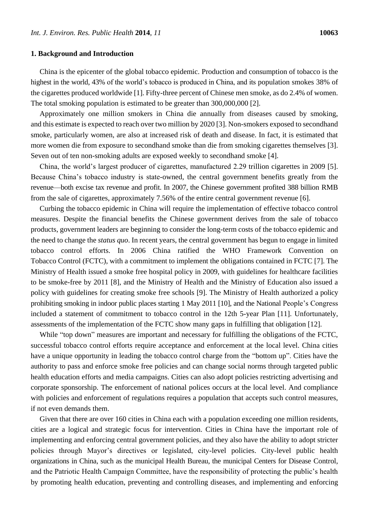### **1. Background and Introduction**

China is the epicenter of the global tobacco epidemic. Production and consumption of tobacco is the highest in the world, 43% of the world's tobacco is produced in China, and its population smokes 38% of the cigarettes produced worldwide [1]. Fifty-three percent of Chinese men smoke, as do 2.4% of women. The total smoking population is estimated to be greater than 300,000,000 [2].

Approximately one million smokers in China die annually from diseases caused by smoking, and this estimate is expected to reach over two million by 2020 [3]. Non-smokers exposed to secondhand smoke, particularly women, are also at increased risk of death and disease. In fact, it is estimated that more women die from exposure to secondhand smoke than die from smoking cigarettes themselves [3]. Seven out of ten non-smoking adults are exposed weekly to secondhand smoke [4].

China, the world's largest producer of cigarettes, manufactured 2.29 trillion cigarettes in 2009 [5]. Because China's tobacco industry is state-owned, the central government benefits greatly from the revenue—both excise tax revenue and profit. In 2007, the Chinese government profited 388 billion RMB from the sale of cigarettes, approximately 7.56% of the entire central government revenue [6].

Curbing the tobacco epidemic in China will require the implementation of effective tobacco control measures. Despite the financial benefits the Chinese government derives from the sale of tobacco products, government leaders are beginning to consider the long-term costs of the tobacco epidemic and the need to change the *status quo*. In recent years, the central government has begun to engage in limited tobacco control efforts. In 2006 China ratified the WHO Framework Convention on Tobacco Control (FCTC), with a commitment to implement the obligations contained in FCTC [7]. The Ministry of Health issued a smoke free hospital policy in 2009, with guidelines for healthcare facilities to be smoke-free by 2011 [8], and the Ministry of Health and the Ministry of Education also issued a policy with guidelines for creating smoke free schools [9]. The Ministry of Health authorized a policy prohibiting smoking in indoor public places starting 1 May 2011 [10], and the National People's Congress included a statement of commitment to tobacco control in the 12th 5-year Plan [11]. Unfortunately, assessments of the implementation of the FCTC show many gaps in fulfilling that obligation [12].

While "top down" measures are important and necessary for fulfilling the obligations of the FCTC, successful tobacco control efforts require acceptance and enforcement at the local level. China cities have a unique opportunity in leading the tobacco control charge from the "bottom up". Cities have the authority to pass and enforce smoke free policies and can change social norms through targeted public health education efforts and media campaigns. Cities can also adopt policies restricting advertising and corporate sponsorship. The enforcement of national polices occurs at the local level. And compliance with policies and enforcement of regulations requires a population that accepts such control measures, if not even demands them.

Given that there are over 160 cities in China each with a population exceeding one million residents, cities are a logical and strategic focus for intervention. Cities in China have the important role of implementing and enforcing central government policies, and they also have the ability to adopt stricter policies through Mayor's directives or legislated, city-level policies. City-level public health organizations in China, such as the municipal Health Bureau, the municipal Centers for Disease Control, and the Patriotic Health Campaign Committee, have the responsibility of protecting the public's health by promoting health education, preventing and controlling diseases, and implementing and enforcing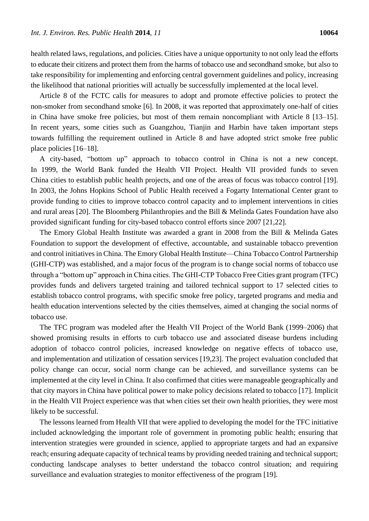health related laws, regulations, and policies. Cities have a unique opportunity to not only lead the efforts to educate their citizens and protect them from the harms of tobacco use and secondhand smoke, but also to take responsibility for implementing and enforcing central government guidelines and policy, increasing the likelihood that national priorities will actually be successfully implemented at the local level.

Article 8 of the FCTC calls for measures to adopt and promote effective policies to protect the non-smoker from secondhand smoke [6]. In 2008, it was reported that approximately one-half of cities in China have smoke free policies, but most of them remain noncompliant with Article 8 [13–15]. In recent years, some cities such as Guangzhou, Tianjin and Harbin have taken important steps towards fulfilling the requirement outlined in Article 8 and have adopted strict smoke free public place policies [16–18].

A city-based, "bottom up" approach to tobacco control in China is not a new concept. In 1999, the World Bank funded the Health VII Project. Health VII provided funds to seven China cities to establish public health projects, and one of the areas of focus was tobacco control [19]. In 2003, the Johns Hopkins School of Public Health received a Fogarty International Center grant to provide funding to cities to improve tobacco control capacity and to implement interventions in cities and rural areas [20]. The Bloomberg Philanthropies and the Bill & Melinda Gates Foundation have also provided significant funding for city-based tobacco control efforts since 2007 [21,22].

The Emory Global Health Institute was awarded a grant in 2008 from the Bill & Melinda Gates Foundation to support the development of effective, accountable, and sustainable tobacco prevention and control initiatives in China. The Emory Global Health Institute—China Tobacco Control Partnership (GHI-CTP) was established, and a major focus of the program is to change social norms of tobacco use through a "bottom up" approach in China cities. The GHI-CTP Tobacco Free Cities grant program (TFC) provides funds and delivers targeted training and tailored technical support to 17 selected cities to establish tobacco control programs, with specific smoke free policy, targeted programs and media and health education interventions selected by the cities themselves, aimed at changing the social norms of tobacco use.

The TFC program was modeled after the Health VII Project of the World Bank (1999–2006) that showed promising results in efforts to curb tobacco use and associated disease burdens including adoption of tobacco control policies, increased knowledge on negative effects of tobacco use, and implementation and utilization of cessation services [19,23]. The project evaluation concluded that policy change can occur, social norm change can be achieved, and surveillance systems can be implemented at the city level in China. It also confirmed that cities were manageable geographically and that city mayors in China have political power to make policy decisions related to tobacco [17]. Implicit in the Health VII Project experience was that when cities set their own health priorities, they were most likely to be successful.

The lessons learned from Health VII that were applied to developing the model for the TFC initiative included acknowledging the important role of government in promoting public health; ensuring that intervention strategies were grounded in science, applied to appropriate targets and had an expansive reach; ensuring adequate capacity of technical teams by providing needed training and technical support; conducting landscape analyses to better understand the tobacco control situation; and requiring surveillance and evaluation strategies to monitor effectiveness of the program [19].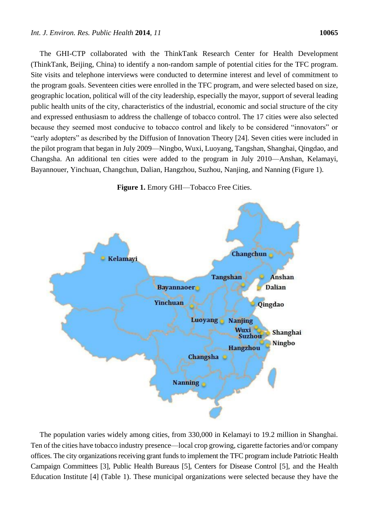The GHI-CTP collaborated with the ThinkTank Research Center for Health Development (ThinkTank, Beijing, China) to identify a non-random sample of potential cities for the TFC program. Site visits and telephone interviews were conducted to determine interest and level of commitment to the program goals. Seventeen cities were enrolled in the TFC program, and were selected based on size, geographic location, political will of the city leadership, especially the mayor, support of several leading public health units of the city, characteristics of the industrial, economic and social structure of the city and expressed enthusiasm to address the challenge of tobacco control. The 17 cities were also selected because they seemed most conducive to tobacco control and likely to be considered "innovators" or "early adopters" as described by the Diffusion of Innovation Theory [24]. Seven cities were included in the pilot program that began in July 2009—Ningbo, Wuxi, Luoyang, Tangshan, Shanghai, Qingdao, and Changsha. An additional ten cities were added to the program in July 2010—Anshan, Kelamayi, Bayannouer, Yinchuan, Changchun, Dalian, Hangzhou, Suzhou, Nanjing, and Nanning (Figure 1).





The population varies widely among cities, from 330,000 in Kelamayi to 19.2 million in Shanghai. Ten of the cities have tobacco industry presence—local crop growing, cigarette factories and/or company offices. The city organizations receiving grant funds to implement the TFC program include Patriotic Health Campaign Committees [3], Public Health Bureaus [5], Centers for Disease Control [5], and the Health Education Institute [4] (Table 1). These municipal organizations were selected because they have the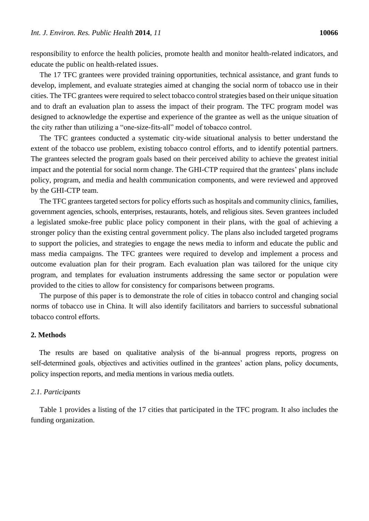responsibility to enforce the health policies, promote health and monitor health-related indicators, and educate the public on health-related issues.

The 17 TFC grantees were provided training opportunities, technical assistance, and grant funds to develop, implement, and evaluate strategies aimed at changing the social norm of tobacco use in their cities. The TFC grantees were required to select tobacco control strategies based on their unique situation and to draft an evaluation plan to assess the impact of their program. The TFC program model was designed to acknowledge the expertise and experience of the grantee as well as the unique situation of the city rather than utilizing a "one-size-fits-all" model of tobacco control.

The TFC grantees conducted a systematic city-wide situational analysis to better understand the extent of the tobacco use problem, existing tobacco control efforts, and to identify potential partners. The grantees selected the program goals based on their perceived ability to achieve the greatest initial impact and the potential for social norm change. The GHI-CTP required that the grantees' plans include policy, program, and media and health communication components, and were reviewed and approved by the GHI-CTP team.

The TFC grantees targeted sectors for policy efforts such as hospitals and community clinics, families, government agencies, schools, enterprises, restaurants, hotels, and religious sites. Seven grantees included a legislated smoke-free public place policy component in their plans, with the goal of achieving a stronger policy than the existing central government policy. The plans also included targeted programs to support the policies, and strategies to engage the news media to inform and educate the public and mass media campaigns. The TFC grantees were required to develop and implement a process and outcome evaluation plan for their program. Each evaluation plan was tailored for the unique city program, and templates for evaluation instruments addressing the same sector or population were provided to the cities to allow for consistency for comparisons between programs.

The purpose of this paper is to demonstrate the role of cities in tobacco control and changing social norms of tobacco use in China. It will also identify facilitators and barriers to successful subnational tobacco control efforts.

## **2. Methods**

The results are based on qualitative analysis of the bi-annual progress reports, progress on self-determined goals, objectives and activities outlined in the grantees' action plans, policy documents, policy inspection reports, and media mentions in various media outlets.

#### *2.1. Participants*

Table 1 provides a listing of the 17 cities that participated in the TFC program. It also includes the funding organization.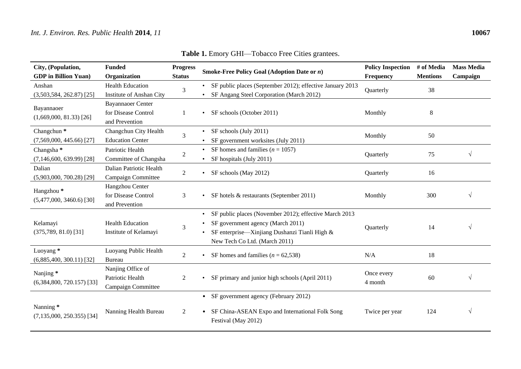| City, (Population,<br><b>GDP</b> in Billion Yuan)    | <b>Funded</b><br>Organization                                     | <b>Progress</b><br><b>Status</b> | <b>Smoke-Free Policy Goal (Adoption Date or <math>n</math>)</b>                                                                                                               | <b>Policy Inspection</b><br>Frequency | # of Media<br><b>Mentions</b> | <b>Mass Media</b><br>Campaign |
|------------------------------------------------------|-------------------------------------------------------------------|----------------------------------|-------------------------------------------------------------------------------------------------------------------------------------------------------------------------------|---------------------------------------|-------------------------------|-------------------------------|
| Anshan<br>$(3,503,584, 262.87)$ [25]                 | <b>Health Education</b><br>Institute of Anshan City               | 3                                | SF public places (September 2012); effective January 2013<br>SF Angang Steel Corporation (March 2012)                                                                         | Quarterly                             | 38                            |                               |
| Bayannaoer<br>$(1,669,000, 81.33)$ [26]              | <b>Bayannaoer Center</b><br>for Disease Control<br>and Prevention |                                  | SF schools (October 2011)                                                                                                                                                     | Monthly                               | 8                             |                               |
| Changchun <sup>*</sup><br>$(7,569,000, 445.66)$ [27] | Changchun City Health<br><b>Education Center</b>                  | 3                                | SF schools (July 2011)<br>SF government worksites (July 2011)                                                                                                                 | Monthly                               | 50                            |                               |
| Changsha <sup>*</sup><br>$(7,146,600, 639.99)$ [28]  | Patriotic Health<br>Committee of Changsha                         | $\overline{2}$                   | SF homes and families ( $n = 1057$ )<br>SF hospitals (July 2011)                                                                                                              | Quarterly                             | 75                            | $\sqrt{ }$                    |
| Dalian<br>$(5,903,000, 700.28)$ [29]                 | Dalian Patriotic Health<br>Campaign Committee                     | 2                                | SF schools (May 2012)                                                                                                                                                         | Quarterly                             | 16                            |                               |
| Hangzhou <sup>*</sup><br>$(5,477,000, 3460.6)$ [30]  | Hangzhou Center<br>for Disease Control<br>and Prevention          | 3                                | SF hotels & restaurants (September 2011)                                                                                                                                      | Monthly                               | 300                           | $\sqrt{ }$                    |
| Kelamayi<br>$(375,789, 81.0)$ [31]                   | <b>Health Education</b><br>Institute of Kelamayi                  | 3                                | SF public places (November 2012); effective March 2013<br>SF government agency (March 2011)<br>SF enterprise—Xinjiang Dushanzi Tianli High &<br>New Tech Co Ltd. (March 2011) | Quarterly                             | 14                            | $\sqrt{}$                     |
| Luoyang *<br>$(6,885,400, 300.11)$ [32]              | Luoyang Public Health<br><b>Bureau</b>                            | $\overline{2}$                   | SF homes and families ( $n = 62,538$ )                                                                                                                                        | N/A                                   | 18                            |                               |
| Nanjing*<br>$(6,384,800, 720.157)$ [33]              | Nanjing Office of<br>Patriotic Health<br>Campaign Committee       | 2                                | SF primary and junior high schools (April 2011)                                                                                                                               | Once every<br>4 month                 | 60                            | V                             |
| Nanning*<br>$(7, 135, 000, 250.355)$ [34]            | Nanning Health Bureau                                             | 2                                | • SF government agency (February 2012)<br>SF China-ASEAN Expo and International Folk Song<br>Festival (May 2012)                                                              | Twice per year                        | 124                           | $\sqrt{ }$                    |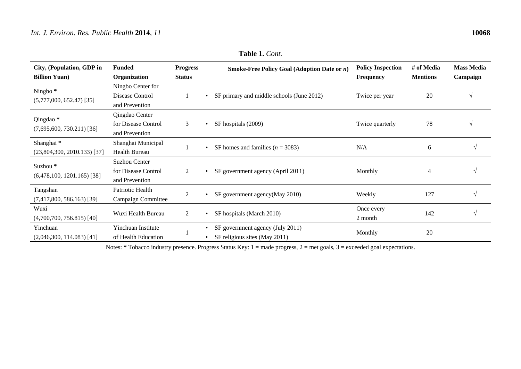| City, (Population, GDP in                           | <b>Funded</b>       | <b>Progress</b> | <b>Smoke-Free Policy Goal (Adoption Date or <math>n</math>)</b>                | <b>Policy Inspection</b> | # of Media      | <b>Mass Media</b> |
|-----------------------------------------------------|---------------------|-----------------|--------------------------------------------------------------------------------|--------------------------|-----------------|-------------------|
| <b>Billion Yuan</b> )                               | Organization        | <b>Status</b>   |                                                                                | <b>Frequency</b>         | <b>Mentions</b> | Campaign          |
| Ningbo <sup>*</sup><br>$(5,777,000, 652.47)$ [35]   | Ningbo Center for   |                 |                                                                                |                          |                 |                   |
|                                                     | Disease Control     |                 | SF primary and middle schools (June 2012)<br>$\bullet$                         | Twice per year           | 20              |                   |
|                                                     | and Prevention      |                 |                                                                                |                          |                 |                   |
| Qingdao *<br>$(7,695,600, 730.211)$ [36]            | Qingdao Center      | 3               |                                                                                | Twice quarterly          | 78              |                   |
|                                                     | for Disease Control |                 | SF hospitals (2009)<br>$\bullet$                                               |                          |                 |                   |
|                                                     | and Prevention      |                 |                                                                                |                          |                 |                   |
| Shanghai*<br>$(23,804,300, 2010.133)$ [37]          | Shanghai Municipal  |                 | SF homes and families ( $n = 3083$ )                                           | N/A                      | 6               | V                 |
|                                                     | Health Bureau       |                 |                                                                                |                          |                 |                   |
| Suzhou <sup>*</sup><br>$(6,478,100, 1201.165)$ [38] | Suzhou Center       |                 |                                                                                |                          |                 |                   |
|                                                     | for Disease Control | 2               | SF government agency (April 2011)<br>$\bullet$                                 | Monthly                  | $\overline{4}$  | V                 |
|                                                     | and Prevention      |                 |                                                                                |                          |                 |                   |
| Tangshan<br>$(7,417,800, 586.163)$ [39]             | Patriotic Health    | 2               | SF government agency(May 2010)                                                 | Weekly                   | 127             | V                 |
|                                                     | Campaign Committee  |                 |                                                                                |                          |                 |                   |
| Wuxi                                                | Wuxi Health Bureau  | 2               | SF hospitals (March 2010)                                                      | Once every               | 142             | $\sqrt{ }$        |
| $(4,700,700, 756.815)$ [40]                         |                     |                 |                                                                                | 2 month                  |                 |                   |
| Yinchuan                                            | Yinchuan Institute  |                 | SF government agency (July 2011)<br>$\bullet$<br>SF religious sites (May 2011) | Monthly                  | 20              |                   |
| $(2,046,300, 114.083)$ [41]                         | of Health Education |                 |                                                                                |                          |                 |                   |

**Table 1.** *Cont.*

Notes: \* Tobacco industry presence. Progress Status Key: 1 = made progress, 2 = met goals, 3 = exceeded goal expectations.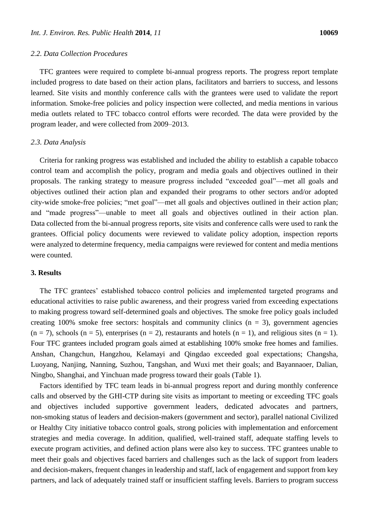TFC grantees were required to complete bi-annual progress reports. The progress report template included progress to date based on their action plans, facilitators and barriers to success, and lessons learned. Site visits and monthly conference calls with the grantees were used to validate the report information. Smoke-free policies and policy inspection were collected, and media mentions in various media outlets related to TFC tobacco control efforts were recorded. The data were provided by the program leader, and were collected from 2009–2013.

#### *2.3. Data Analysis*

Criteria for ranking progress was established and included the ability to establish a capable tobacco control team and accomplish the policy, program and media goals and objectives outlined in their proposals. The ranking strategy to measure progress included "exceeded goal"—met all goals and objectives outlined their action plan and expanded their programs to other sectors and/or adopted city-wide smoke-free policies; "met goal"—met all goals and objectives outlined in their action plan; and "made progress"—unable to meet all goals and objectives outlined in their action plan. Data collected from the bi-annual progress reports, site visits and conference calls were used to rank the grantees. Official policy documents were reviewed to validate policy adoption, inspection reports were analyzed to determine frequency, media campaigns were reviewed for content and media mentions were counted.

#### **3. Results**

The TFC grantees' established tobacco control policies and implemented targeted programs and educational activities to raise public awareness, and their progress varied from exceeding expectations to making progress toward self-determined goals and objectives. The smoke free policy goals included creating 100% smoke free sectors: hospitals and community clinics  $(n = 3)$ , government agencies  $(n = 7)$ , schools  $(n = 5)$ , enterprises  $(n = 2)$ , restaurants and hotels  $(n = 1)$ , and religious sites  $(n = 1)$ . Four TFC grantees included program goals aimed at establishing 100% smoke free homes and families. Anshan, Changchun, Hangzhou, Kelamayi and Qingdao exceeded goal expectations; Changsha, Luoyang, Nanjing, Nanning, Suzhou, Tangshan, and Wuxi met their goals; and Bayannaoer, Dalian, Ningbo, Shanghai, and Yinchuan made progress toward their goals (Table 1).

Factors identified by TFC team leads in bi-annual progress report and during monthly conference calls and observed by the GHI-CTP during site visits as important to meeting or exceeding TFC goals and objectives included supportive government leaders, dedicated advocates and partners, non-smoking status of leaders and decision-makers (government and sector), parallel national Civilized or Healthy City initiative tobacco control goals, strong policies with implementation and enforcement strategies and media coverage. In addition, qualified, well-trained staff, adequate staffing levels to execute program activities, and defined action plans were also key to success. TFC grantees unable to meet their goals and objectives faced barriers and challenges such as the lack of support from leaders and decision-makers, frequent changes in leadership and staff, lack of engagement and support from key partners, and lack of adequately trained staff or insufficient staffing levels. Barriers to program success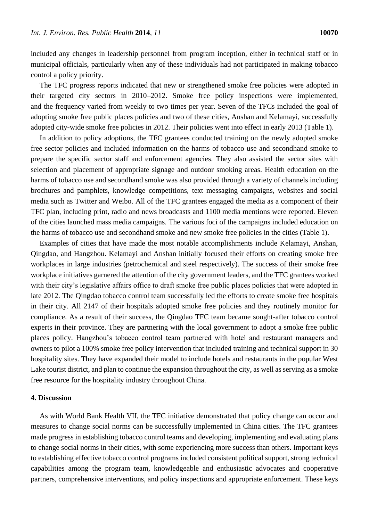included any changes in leadership personnel from program inception, either in technical staff or in municipal officials, particularly when any of these individuals had not participated in making tobacco control a policy priority.

The TFC progress reports indicated that new or strengthened smoke free policies were adopted in their targeted city sectors in 2010–2012. Smoke free policy inspections were implemented, and the frequency varied from weekly to two times per year. Seven of the TFCs included the goal of adopting smoke free public places policies and two of these cities, Anshan and Kelamayi, successfully adopted city-wide smoke free policies in 2012. Their policies went into effect in early 2013 (Table 1).

In addition to policy adoptions, the TFC grantees conducted training on the newly adopted smoke free sector policies and included information on the harms of tobacco use and secondhand smoke to prepare the specific sector staff and enforcement agencies. They also assisted the sector sites with selection and placement of appropriate signage and outdoor smoking areas. Health education on the harms of tobacco use and secondhand smoke was also provided through a variety of channels including brochures and pamphlets, knowledge competitions, text messaging campaigns, websites and social media such as Twitter and Weibo. All of the TFC grantees engaged the media as a component of their TFC plan, including print, radio and news broadcasts and 1100 media mentions were reported. Eleven of the cities launched mass media campaigns. The various foci of the campaigns included education on the harms of tobacco use and secondhand smoke and new smoke free policies in the cities (Table 1).

Examples of cities that have made the most notable accomplishments include Kelamayi, Anshan, Qingdao, and Hangzhou. Kelamayi and Anshan initially focused their efforts on creating smoke free workplaces in large industries (petrochemical and steel respectively). The success of their smoke free workplace initiatives garnered the attention of the city government leaders, and the TFC grantees worked with their city's legislative affairs office to draft smoke free public places policies that were adopted in late 2012. The Qingdao tobacco control team successfully led the efforts to create smoke free hospitals in their city. All 2147 of their hospitals adopted smoke free policies and they routinely monitor for compliance. As a result of their success, the Qingdao TFC team became sought-after tobacco control experts in their province. They are partnering with the local government to adopt a smoke free public places policy. Hangzhou's tobacco control team partnered with hotel and restaurant managers and owners to pilot a 100% smoke free policy intervention that included training and technical support in 30 hospitality sites. They have expanded their model to include hotels and restaurants in the popular West Lake tourist district, and plan to continue the expansion throughout the city, as well as serving as a smoke free resource for the hospitality industry throughout China.

#### **4. Discussion**

As with World Bank Health VII, the TFC initiative demonstrated that policy change can occur and measures to change social norms can be successfully implemented in China cities. The TFC grantees made progress in establishing tobacco control teams and developing, implementing and evaluating plans to change social norms in their cities, with some experiencing more success than others. Important keys to establishing effective tobacco control programs included consistent political support, strong technical capabilities among the program team, knowledgeable and enthusiastic advocates and cooperative partners, comprehensive interventions, and policy inspections and appropriate enforcement. These keys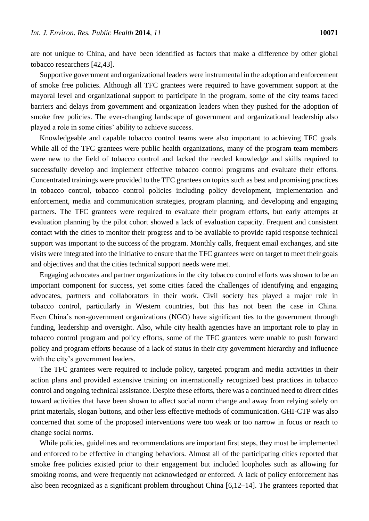are not unique to China, and have been identified as factors that make a difference by other global tobacco researchers [42,43].

Supportive government and organizational leaders were instrumental in the adoption and enforcement of smoke free policies. Although all TFC grantees were required to have government support at the mayoral level and organizational support to participate in the program, some of the city teams faced barriers and delays from government and organization leaders when they pushed for the adoption of smoke free policies. The ever-changing landscape of government and organizational leadership also played a role in some cities' ability to achieve success.

Knowledgeable and capable tobacco control teams were also important to achieving TFC goals. While all of the TFC grantees were public health organizations, many of the program team members were new to the field of tobacco control and lacked the needed knowledge and skills required to successfully develop and implement effective tobacco control programs and evaluate their efforts. Concentrated trainings were provided to the TFC grantees on topics such as best and promising practices in tobacco control, tobacco control policies including policy development, implementation and enforcement, media and communication strategies, program planning, and developing and engaging partners. The TFC grantees were required to evaluate their program efforts, but early attempts at evaluation planning by the pilot cohort showed a lack of evaluation capacity. Frequent and consistent contact with the cities to monitor their progress and to be available to provide rapid response technical support was important to the success of the program. Monthly calls, frequent email exchanges, and site visits were integrated into the initiative to ensure that the TFC grantees were on target to meet their goals and objectives and that the cities technical support needs were met.

Engaging advocates and partner organizations in the city tobacco control efforts was shown to be an important component for success, yet some cities faced the challenges of identifying and engaging advocates, partners and collaborators in their work. Civil society has played a major role in tobacco control, particularly in Western countries, but this has not been the case in China. Even China's non-government organizations (NGO) have significant ties to the government through funding, leadership and oversight. Also, while city health agencies have an important role to play in tobacco control program and policy efforts, some of the TFC grantees were unable to push forward policy and program efforts because of a lack of status in their city government hierarchy and influence with the city's government leaders.

The TFC grantees were required to include policy, targeted program and media activities in their action plans and provided extensive training on internationally recognized best practices in tobacco control and ongoing technical assistance. Despite these efforts, there was a continued need to direct cities toward activities that have been shown to affect social norm change and away from relying solely on print materials, slogan buttons, and other less effective methods of communication. GHI-CTP was also concerned that some of the proposed interventions were too weak or too narrow in focus or reach to change social norms.

While policies, guidelines and recommendations are important first steps, they must be implemented and enforced to be effective in changing behaviors. Almost all of the participating cities reported that smoke free policies existed prior to their engagement but included loopholes such as allowing for smoking rooms, and were frequently not acknowledged or enforced. A lack of policy enforcement has also been recognized as a significant problem throughout China [6,12–14]. The grantees reported that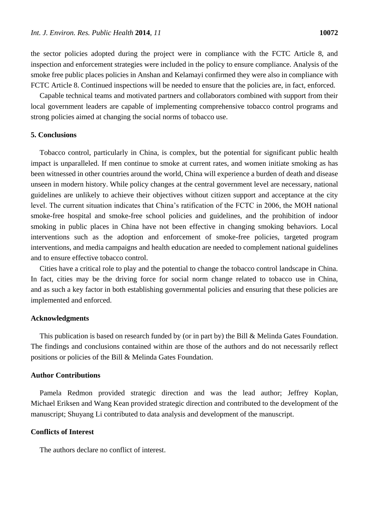the sector policies adopted during the project were in compliance with the FCTC Article 8, and inspection and enforcement strategies were included in the policy to ensure compliance. Analysis of the smoke free public places policies in Anshan and Kelamayi confirmed they were also in compliance with FCTC Article 8. Continued inspections will be needed to ensure that the policies are, in fact, enforced.

Capable technical teams and motivated partners and collaborators combined with support from their local government leaders are capable of implementing comprehensive tobacco control programs and strong policies aimed at changing the social norms of tobacco use.

#### **5. Conclusions**

Tobacco control, particularly in China, is complex, but the potential for significant public health impact is unparalleled. If men continue to smoke at current rates, and women initiate smoking as has been witnessed in other countries around the world, China will experience a burden of death and disease unseen in modern history. While policy changes at the central government level are necessary, national guidelines are unlikely to achieve their objectives without citizen support and acceptance at the city level. The current situation indicates that China's ratification of the FCTC in 2006, the MOH national smoke-free hospital and smoke-free school policies and guidelines, and the prohibition of indoor smoking in public places in China have not been effective in changing smoking behaviors. Local interventions such as the adoption and enforcement of smoke-free policies, targeted program interventions, and media campaigns and health education are needed to complement national guidelines and to ensure effective tobacco control.

Cities have a critical role to play and the potential to change the tobacco control landscape in China. In fact, cities may be the driving force for social norm change related to tobacco use in China, and as such a key factor in both establishing governmental policies and ensuring that these policies are implemented and enforced.

#### **Acknowledgments**

This publication is based on research funded by (or in part by) the Bill & Melinda Gates Foundation. The findings and conclusions contained within are those of the authors and do not necessarily reflect positions or policies of the Bill & Melinda Gates Foundation.

#### **Author Contributions**

Pamela Redmon provided strategic direction and was the lead author; Jeffrey Koplan, Michael Eriksen and Wang Kean provided strategic direction and contributed to the development of the manuscript; Shuyang Li contributed to data analysis and development of the manuscript.

## **Conflicts of Interest**

The authors declare no conflict of interest.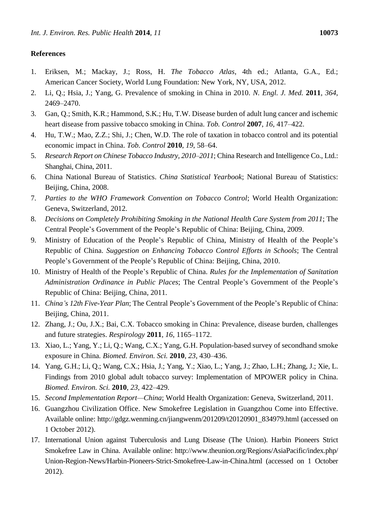# **References**

- 1. Eriksen, M.; Mackay, J.; Ross, H. *The Tobacco Atlas*, 4th ed.; Atlanta, G.A., Ed.; American Cancer Society, World Lung Foundation: New York, NY, USA, 2012.
- 2. Li, Q.; Hsia, J.; Yang, G. Prevalence of smoking in China in 2010. *N. Engl. J. Med.* **2011**, *364*, 2469–2470.
- 3. Gan, Q.; Smith, K.R.; Hammond, S.K.; Hu, T.W. Disease burden of adult lung cancer and ischemic heart disease from passive tobacco smoking in China. *Tob. Control* **2007**, *16*, 417–422.
- 4. Hu, T.W.; Mao, Z.Z.; Shi, J.; Chen, W.D. The role of taxation in tobacco control and its potential economic impact in China. *Tob. Control* **2010**, *19*, 58–64.
- 5. *Research Report on Chinese Tobacco Industry, 2010–2011*; China Research and Intelligence Co., Ltd.: Shanghai, China, 2011.
- 6. China National Bureau of Statistics. *China Statistical Yearbook*; National Bureau of Statistics: Beijing, China, 2008.
- 7. *Parties to the WHO Framework Convention on Tobacco Control*; World Health Organization: Geneva, Switzerland, 2012.
- 8. *Decisions on Completely Prohibiting Smoking in the National Health Care System from 2011*; The Central People's Government of the People's Republic of China: Beijing, China, 2009.
- 9. Ministry of Education of the People's Republic of China, Ministry of Health of the People's Republic of China. *Suggestion on Enhancing Tobacco Control Efforts in Schools*; The Central People's Government of the People's Republic of China: Beijing, China, 2010.
- 10. Ministry of Health of the People's Republic of China. *Rules for the Implementation of Sanitation Administration Ordinance in Public Places*; The Central People's Government of the People's Republic of China: Beijing, China, 2011.
- 11. *China's 12th Five-Year Plan*; The Central People's Government of the People's Republic of China: Beijing, China, 2011.
- 12. Zhang, J.; Ou, J.X.; Bai, C.X. Tobacco smoking in China: Prevalence, disease burden, challenges and future strategies. *Respirology* **2011**, *16*, 1165–1172.
- 13. Xiao, L.; Yang, Y.; Li, Q.; Wang, C.X.; Yang, G.H. Population-based survey of secondhand smoke exposure in China*. Biomed. Environ. Sci.* **2010**, *23*, 430–436.
- 14. Yang, G.H.; Li, Q.; Wang, C.X.; Hsia, J.; Yang, Y.; Xiao, L.; Yang, J.; Zhao, L.H.; Zhang, J.; Xie, L. Findings from 2010 global adult tobacco survey: Implementation of MPOWER policy in China. *Biomed. Environ. Sci.* **2010**, *23*, 422–429.
- 15. *Second Implementation Report—China*; World Health Organization: Geneva, Switzerland, 2011.
- 16. Guangzhou Civilization Office. New Smokefree Legislation in Guangzhou Come into Effective. Available online: http://gdgz.wenming.cn/jiangwenm/201209/t20120901\_834979.html (accessed on 1 October 2012).
- 17. International Union against Tuberculosis and Lung Disease (The Union). Harbin Pioneers Strict Smokefree Law in China. Available online: http://www.theunion.org/Regions/AsiaPacific/index.php/ Union-Region-News/Harbin-Pioneers-Strict-Smokefree-Law-in-China.html (accessed on 1 October 2012).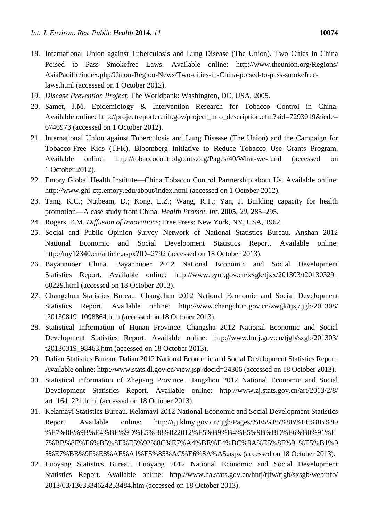- 18. International Union against Tuberculosis and Lung Disease (The Union). Two Cities in China Poised to Pass Smokefree Laws. Available online: http://www.theunion.org/Regions/ AsiaPacific/index.php/Union-Region-News/Two-cities-in-China-poised-to-pass-smokefreelaws.html (accessed on 1 October 2012).
- 19. *Disease Prevention Project*; The Worldbank: Washington, DC, USA, 2005.
- 20. Samet, J.M. Epidemiology & Intervention Research for Tobacco Control in China. Available online: http://projectreporter.nih.gov/project\_info\_description.cfm?aid=7293019&icde= 6746973 (accessed on 1 October 2012).
- 21. International Union against Tuberculosis and Lung Disease (The Union) and the Campaign for Tobacco-Free Kids (TFK). Bloomberg Initiative to Reduce Tobacco Use Grants Program. Available online: http://tobaccocontrolgrants.org/Pages/40/What-we-fund (accessed on 1 October 2012).
- 22. Emory Global Health Institute—China Tobacco Control Partnership about Us. Available online: http://www.ghi-ctp.emory.edu/about/index.html (accessed on 1 October 2012).
- 23. Tang, K.C.; Nutbeam, D.; Kong, L.Z.; Wang, R.T.; Yan, J. Building capacity for health promotion—A case study from China. *Health Promot. Int.* **2005**, *20*, 285–295.
- 24. Rogers, E.M. *Diffusion of Innovations*; Free Press: New York, NY, USA, 1962.
- 25. Social and Public Opinion Survey Network of National Statistics Bureau. Anshan 2012 National Economic and Social Development Statistics Report. Available online: http://my12340.cn/article.aspx?ID=2792 (accessed on 18 October 2013).
- 26. Bayannuoer China. Bayannuoer 2012 National Economic and Social Development Statistics Report. Available online: http://www.bynr.gov.cn/xxgk/tjxx/201303/t20130329 60229.html (accessed on 18 October 2013).
- 27. Changchun Statistics Bureau. Changchun 2012 National Economic and Social Development Statistics Report. Available online: http://www.changchun.gov.cn/zwgk/tjsj/tjgb/201308/ t20130819\_1098864.htm (accessed on 18 October 2013).
- 28. Statistical Information of Hunan Province. Changsha 2012 National Economic and Social Development Statistics Report. Available online: http://www.hntj.gov.cn/tjgb/szgb/201303/ t20130319\_98463.htm (accessed on 18 October 2013).
- 29. Dalian Statistics Bureau. Dalian 2012 National Economic and Social Development Statistics Report. Available online: http://www.stats.dl.gov.cn/view.jsp?docid=24306 (accessed on 18 October 2013).
- 30. Statistical information of Zhejiang Province. Hangzhou 2012 National Economic and Social Development Statistics Report. Available online: http://www.zj.stats.gov.cn/art/2013/2/8/ art\_164\_221.html (accessed on 18 October 2013).
- 31. Kelamayi Statistics Bureau. Kelamayi 2012 National Economic and Social Development Statistics Report. Available online: http://tjj.klmy.gov.cn/tjgb/Pages/%E5%85%8B%E6%8B%89 %E7%8E%9B%E4%BE%9D%E5%B8%822012%E5%B9%B4%E5%9B%BD%E6%B0%91%E 7%BB%8F%E6%B5%8E%E5%92%8C%E7%A4%BE%E4%BC%9A%E5%8F%91%E5%B1%9 5%E7%BB%9F%E8%AE%A1%E5%85%AC%E6%8A%A5.aspx (accessed on 18 October 2013).
- 32. Luoyang Statistics Bureau. Luoyang 2012 National Economic and Social Development Statistics Report. Available online: http://www.ha.stats.gov.cn/hntj/tjfw/tjgb/sxsgb/webinfo/ 2013/03/1363334624253484.htm (accessed on 18 October 2013).